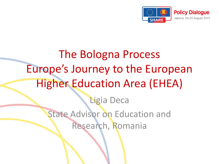

# The Bologna Process Europe's Journey to the European Higher Education Area (EHEA) Ligia Deca State Advisor on Education and Research, Romania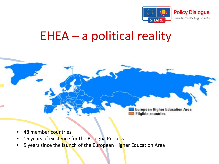

### EHEA – a political reality



- 48 member countries
- 16 years of existence for the Bologna Process
- 5 years since the launch of the European Higher Education Area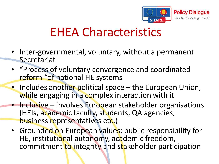

## EHEA Characteristics

- Inter-governmental, voluntary, without a permanent Secretariat
- "Process of voluntary convergence and coordinated reform "of national HE systems
- Includes another political space the European Union, while engaging in a complex interaction with it
- Inclusive involves European stakeholder organisations (HEIs, academic faculty, students, QA agencies, business representatives etc.)
- Grounded on European values: public responsibility for HE, institutional autonomy, academic freedom, commitment to integrity and stakeholder participation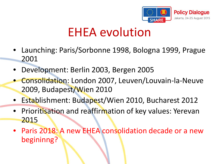

### EHEA evolution

- Launching: Paris/Sorbonne 1998, Bologna 1999, Prague 2001
- Development: Berlin 2003, Bergen 2005
- Consolidation: London 2007, Leuven/Louvain-la-Neuve 2009, Budapest/Wien 2010
- Establishment: Budapest/Wien 2010, Bucharest 2012
- Prioritisation and reaffirmation of key values: Yerevan 2015
- Paris 2018: A new EHEA consolidation decade or a new begininng?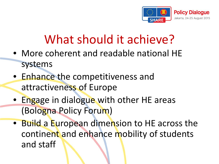

# What should it achieve?

- More coherent and readable national HE systems
- Enhance the competitiveness and attractiveness of Europe
- Engage in dialogue with other HE areas (Bologna Policy Forum)
- Build a European dimension to HE across the continent and enhance mobility of students and staff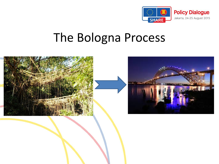

### The Bologna Process

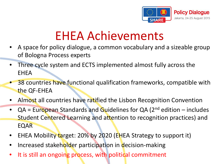

# EHEA Achievements

- A space for policy dialogue, a common vocabulary and a sizeable group of Bologna Process experts
- Three cycle system and ECTS implemented almost fully across the EHEA
- 38 countries have functional qualification frameworks, compatible with the QF-EHEA
- Almost all countries have ratified the Lisbon Recognition Convention
- $QA = European Standards and Guidelines for QA (2<sup>nd</sup> edition includes$ Student Centered Learning and attention to recognition practices) and EQAR
- EHEA Mobility target: 20% by 2020 (EHEA Strategy to support it)
- Increased stakeholder participation in decision-making
- It is still an ongoing process, with political commitment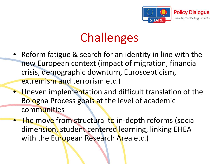

# **Challenges**

- Reform fatigue & search for an identity in line with the new European context (impact of migration, financial crisis, demographic downturn, Euroscepticism, extremism and terrorism etc.)
- Uneven implementation and difficult translation of the Bologna Process goals at the level of academic communities
- The move from structural to in-depth reforms (social dimension, student centered learning, linking EHEA with the European Research Area etc.)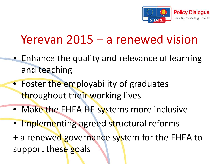

# Yerevan 2015 – a renewed vision

- Enhance the quality and relevance of learning and teaching
- Foster the employability of graduates throughout their working lives
- Make the EHEA HE systems more inclusive
- Implementing agreed structural reforms

+ a renewed governance system for the EHEA to support these goals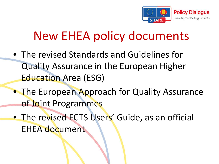

# New EHEA policy documents

- The revised Standards and Guidelines for Quality Assurance in the European Higher Education Area (ESG)
- The European Approach for Quality Assurance of Joint Programmes
- The revised ECTS Users' Guide, as an official EHEA document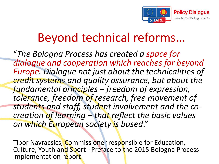

# Beyond technical reforms…

"*The Bologna Process has created a space for dialogue and cooperation which reaches far beyond Europe. Dialogue not just about the technicalities of credit systems and quality assurance, but about the fundamental principles – freedom of expression, tolerance, freedom of research, free movement of students and staff, student involvement and the co- creation of learning – that reflect the basic values on which European society is based*."

Tibor Navracsics, Commissioner responsible for Education, Culture, Youth and Sport - Preface to the 2015 Bologna Process implementation report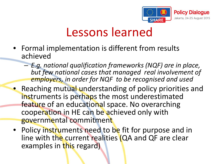

## Lessons learned

- Formal implementation is different from results achieved
	- *E.g. national qualification frameworks (NQF) are in place, but few national cases that managed real involvement of employers, in order for NQF to be recognised and used*
- Reaching mutual understanding of policy priorities and instruments is perhaps the most underestimated feature of an educational space. No overarching cooperation in HE can be achieved only with governmental commitment
- Policy instruments need to be fit for purpose and in line with the current realities (QA and QF are clear examples in this regard)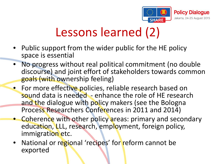

# Lessons learned (2)

- Public support from the wider public for the HE policy space is essential
- No progress without real political commitment (no double discourse) and joint effort of stakeholders towards common goals (with ownership feeling)
- **•** For more effective policies, reliable research based on sound data is needed - enhance the role of HE research and the dialogue with policy makers (see the Bologna Process Researchers Conferences in 2011 and 2014)
- Coherence with other policy areas: primary and secondary education, LLL, research, employment, foreign policy, immigration etc.
- National or regional 'recipes' for reform cannot be exported